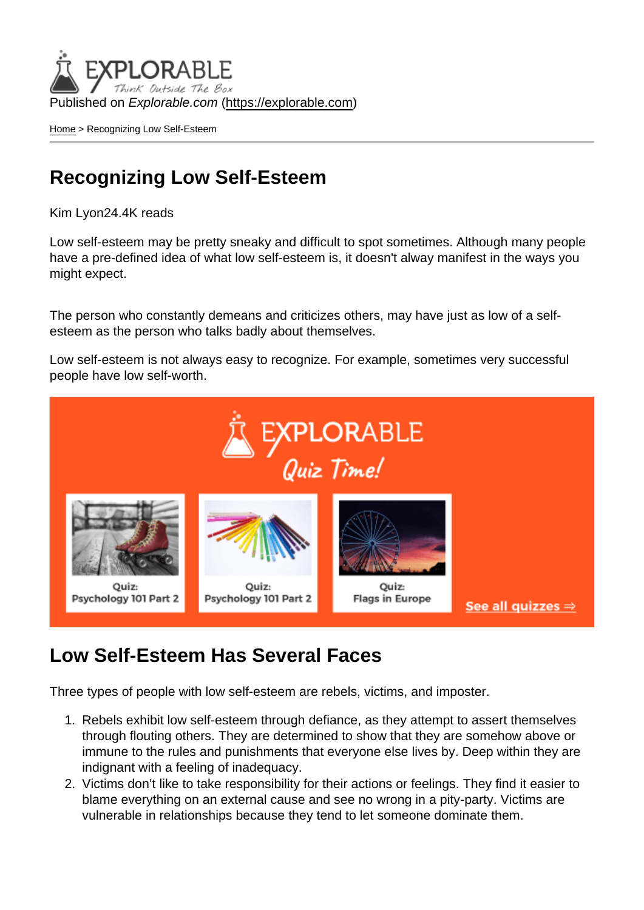Published on Explorable.com (<https://explorable.com>)

[Home](https://explorable.com/) > Recognizing Low Self-Esteem

## Recognizing Low Self-Esteem

Kim Lyon24.4K reads

Low self-esteem may be pretty sneaky and difficult to spot sometimes. Although many people have a pre-defined idea of what low self-esteem is, it doesn't alway manifest in the ways you might expect.

The person who constantly demeans and criticizes others, may have just as low of a selfesteem as the person who talks badly about themselves.

Low self-esteem is not always easy to recognize. For example, sometimes very successful people have low self-worth.

#### Low Self-Esteem Has Several Faces

Three types of people with low self-esteem are rebels, victims, and imposter.

- 1. Rebels exhibit low self-esteem through defiance, as they attempt to assert themselves through flouting others. They are determined to show that they are somehow above or immune to the rules and punishments that everyone else lives by. Deep within they are indignant with a feeling of inadequacy.
- 2. Victims don't like to take responsibility for their actions or feelings. They find it easier to blame everything on an external cause and see no wrong in a pity-party. Victims are vulnerable in relationships because they tend to let someone dominate them.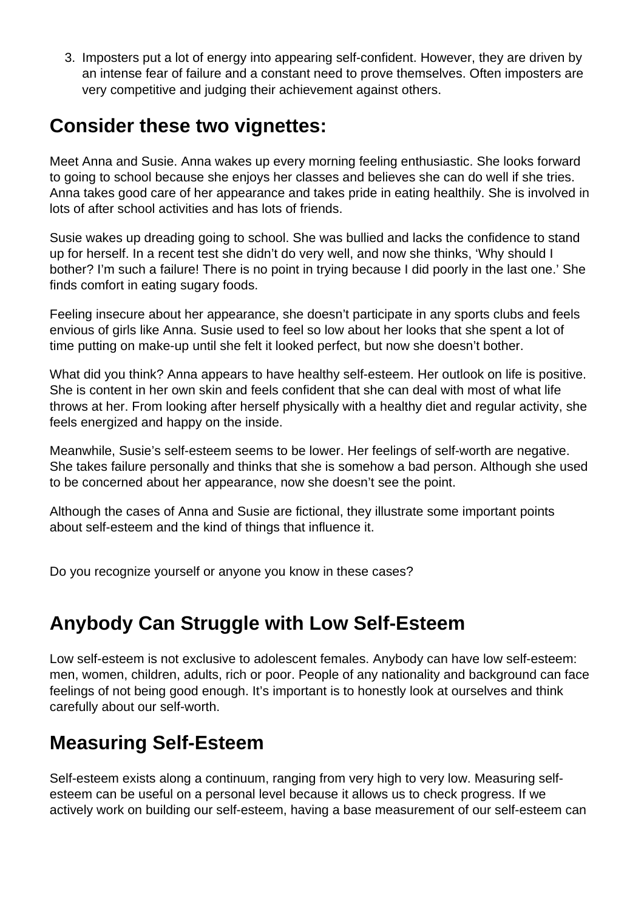3. Imposters put a lot of energy into appearing self-confident. However, they are driven by an intense fear of failure and a constant need to prove themselves. Often imposters are very competitive and judging their achievement against others.

#### **Consider these two vignettes:**

Meet Anna and Susie. Anna wakes up every morning feeling enthusiastic. She looks forward to going to school because she enjoys her classes and believes she can do well if she tries. Anna takes good care of her appearance and takes pride in eating healthily. She is involved in lots of after school activities and has lots of friends.

Susie wakes up dreading going to school. She was bullied and lacks the confidence to stand up for herself. In a recent test she didn't do very well, and now she thinks, 'Why should I bother? I'm such a failure! There is no point in trying because I did poorly in the last one.' She finds comfort in eating sugary foods.

Feeling insecure about her appearance, she doesn't participate in any sports clubs and feels envious of girls like Anna. Susie used to feel so low about her looks that she spent a lot of time putting on make-up until she felt it looked perfect, but now she doesn't bother.

What did you think? Anna appears to have healthy self-esteem. Her outlook on life is positive. She is content in her own skin and feels confident that she can deal with most of what life throws at her. From looking after herself physically with a healthy diet and regular activity, she feels energized and happy on the inside.

Meanwhile, Susie's self-esteem seems to be lower. Her feelings of self-worth are negative. She takes failure personally and thinks that she is somehow a bad person. Although she used to be concerned about her appearance, now she doesn't see the point.

Although the cases of Anna and Susie are fictional, they illustrate some important points about self-esteem and the kind of things that influence it.

Do you recognize yourself or anyone you know in these cases?

## **Anybody Can Struggle with Low Self-Esteem**

Low self-esteem is not exclusive to adolescent females. Anybody can have low self-esteem: men, women, children, adults, rich or poor. People of any nationality and background can face feelings of not being good enough. It's important is to honestly look at ourselves and think carefully about our self-worth.

## **Measuring Self-Esteem**

Self-esteem exists along a continuum, ranging from very high to very low. Measuring selfesteem can be useful on a personal level because it allows us to check progress. If we actively work on building our self-esteem, having a base measurement of our self-esteem can